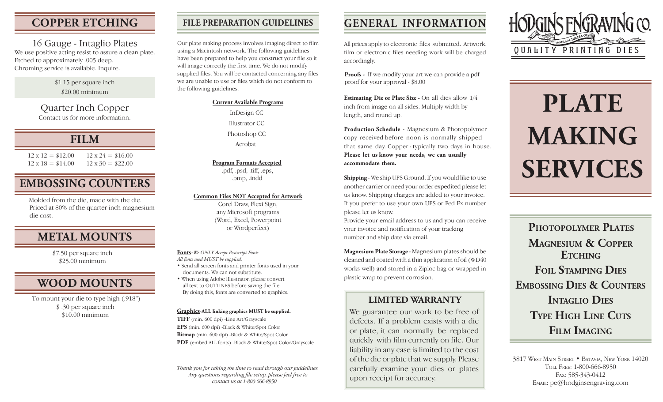## **COPPER ETCHING**

16 Gauge - Intaglio Plates We use positive acting resist to assure a clean plate. Etched to approximately .005 deep. Chroming service is available. Inquire.

#### \$1.15 per square inch \$20.00 minimum

Quarter Inch Copper Contact us for more information.

## **FILM**

 $12 \times 12 = $12.00$  $12 \times 18 = $14.00$  $12 \times 24 = $16.00$  $12 \times 30 = $22.00$ 

# **EMBOSSING COUNTERS**

Molded from the die, made with the die. Priced at 80% of the quarter inch magnesium die cost.

## **METAL MOUNTS**

\$7.50 per square inch \$25.00 minimum

## **WOOD MOUNTS**

\$ .30 per square inch \$10.00 minimum To mount your die to type high (.918")

## **FILE PREPARATION GUIDELINES**

Our plate making process involves imaging direct to film using a Macintosh network. The following guidelines have been prepared to help you construct your file so it will image correctly the first time. We do not modify supplied files. You will be contacted concerning any files we are unable to use or files which do not conform to the following guidelines.

#### **Current Available Programs**

InDesign CC Illustrator CC Photoshop CC Acrobat

### **Program Formats Accepted**

.pdf, .psd, .tiff, .eps, .bmp, .indd

#### **Common Files NOT Accepted for Artwork**

Corel Draw, Flexi Sign, any Microsoft programs (Word, Excel, Powerpoint or Wordperfect)

**Fonts-***We ONLY Accept Postscript Fonts. All fonts used MUST be supplied.* • Send all screen fonts and printer fonts used in your documents. We can not substitute.

• When using Adobe lIlustrator, please convert all text to OUTLINES before saving the file. By doing this, fonts are converted to graphics.

#### **Graphics-ALL linking graphics MUST be supplied.**

**TIFF** (min. 600 dpi) -Line Art/Grayscale **EPS** (min. 600 dpi) -Black & White/Spot Color **Bitmap** (min. 600 dpi) -Black & White/Spot Color **PDF** (embed ALL fonts) -Black & White/Spot Color/Grayscale

*Thank you for taking the time to read through our guidelines. Any questions regarding file setup, please feel free to contact us at 1-800-666-8950*

# **GENERAL INFORMATION**

All prices apply to electronic files submitted. Artwork, film or electronic files needing work will be charged accordingly.

**Proofs -** If we modify your art we can provide a pdf proof for your approval - \$8.00

**Estimating Die or Plate Size -** On all dies allow 1/4 inch from image on all sides. Multiply width by length, and round up.

**Production Schedule** - Magnesium & Photopolymer copy received before noon is normally shipped that same day. Copper - typically two days in house. **Please let us know your needs, we can usually accommodate them.**

**Shipping** - We ship UPS Ground. If you would like to use another carrier or need your order expedited please let us know. Shipping charges are added to your invoice. If you prefer to use your own UPS or Fed Ex number please let us know.

Provide your email address to us and you can receive your invoice and notification of your tracking number and ship date via email.

**Magnesium Plate Storage** - Magnesium plates should be cleaned and coated with a thin application of oil(WD40 works well) and stored in a Ziploc bag or wrapped in plastic wrap to prevent corrosion.

## **LIMITED WARRANTY**

We guarantee our work to be free of defects. If a problem exists with a die or plate, it can normally be replaced quickly with film currently on file. Our liability in any case is limited to the cost of the die or plate that we supply. Please carefully examine your dies or plates upon receipt for accuracy.



# **PLATE MAKING SERVICES**

**PHOTOPOLYMER PLATES MAGNESIUM & COPPER ETCHING FOIL STAMPING DIES EMBOSSING DIES & COUNTERS INTAGLIO DIES TYPE HIGH LINE CUTS FILM IMAGING**

3817 WEST MAIN STREET • BATAVIA, NEW YORK 14020 TOLL FREE: 1-800-666-8950 FAX: 585-343-0412 EMAIL: pe@hodginsengraving.com